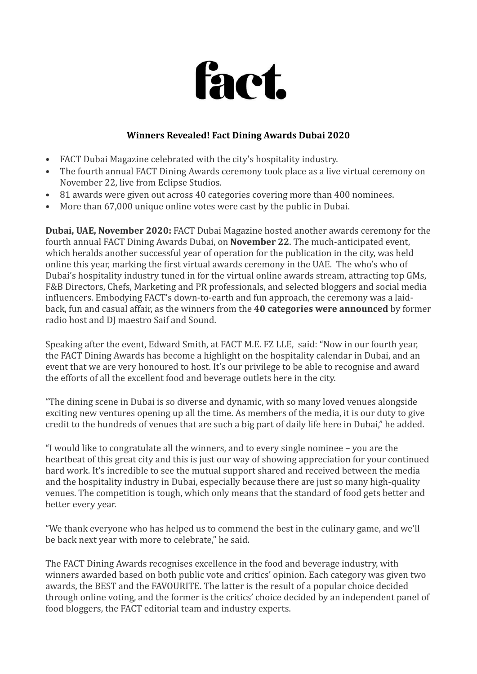

## **Winners Revealed! Fact Dining Awards Dubai 2020**

- FACT Dubai Magazine celebrated with the city's hospitality industry.
- The fourth annual FACT Dining Awards ceremony took place as a live virtual ceremony on November 22, live from Eclipse Studios.
- 81 awards were given out across 40 categories covering more than 400 nominees.
- More than  $67,000$  unique online votes were cast by the public in Dubai.

**Dubai, UAE, November 2020:** FACT Dubai Magazine hosted another awards ceremony for the fourth annual FACT Dining Awards Dubai, on **November 22**. The much-anticipated event, which heralds another successful year of operation for the publication in the city, was held online this year, marking the first virtual awards ceremony in the UAE. The who's who of Dubai's hospitality industry tuned in for the virtual online awards stream, attracting top GMs, F&B Directors, Chefs, Marketing and PR professionals, and selected bloggers and social media influencers. Embodying FACT's down-to-earth and fun approach, the ceremony was a laidback, fun and casual affair, as the winners from the 40 categories were announced by former radio host and DJ maestro Saif and Sound.

Speaking after the event, Edward Smith, at FACT M.E. FZ LLE, said: "Now in our fourth year, the FACT Dining Awards has become a highlight on the hospitality calendar in Dubai, and an event that we are very honoured to host. It's our privilege to be able to recognise and award the efforts of all the excellent food and beverage outlets here in the city.

"The dining scene in Dubai is so diverse and dynamic, with so many loved venues alongside exciting new ventures opening up all the time. As members of the media, it is our duty to give credit to the hundreds of venues that are such a big part of daily life here in Dubai," he added.

"I would like to congratulate all the winners, and to every single nominee  $-$  you are the heartbeat of this great city and this is just our way of showing appreciation for your continued hard work. It's incredible to see the mutual support shared and received between the media and the hospitality industry in Dubai, especially because there are just so many high-quality venues. The competition is tough, which only means that the standard of food gets better and better every year.

"We thank everyone who has helped us to commend the best in the culinary game, and we'll be back next year with more to celebrate," he said.

The FACT Dining Awards recognises excellence in the food and beverage industry, with winners awarded based on both public vote and critics' opinion. Each category was given two awards, the BEST and the FAVOURITE. The latter is the result of a popular choice decided through online voting, and the former is the critics' choice decided by an independent panel of food bloggers, the FACT editorial team and industry experts.